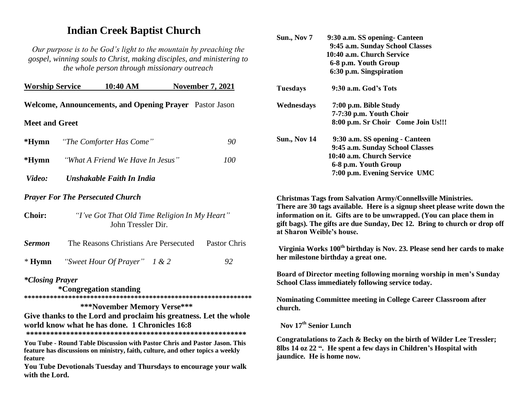## **Indian Creek Baptist Church**

*Our purpose is to be God's light to the mountain by preaching the gospel, winning souls to Christ, making disciples, and ministering to the whole person through missionary outreach*

| <b>Worship Service</b>    |                                                                     | 10:40 AM                                                                                                                                                                                                                          |  | <b>November 7, 2021</b> |  |  |
|---------------------------|---------------------------------------------------------------------|-----------------------------------------------------------------------------------------------------------------------------------------------------------------------------------------------------------------------------------|--|-------------------------|--|--|
|                           |                                                                     | Welcome, Announcements, and Opening Prayer Pastor Jason                                                                                                                                                                           |  |                         |  |  |
| <b>Meet and Greet</b>     |                                                                     |                                                                                                                                                                                                                                   |  |                         |  |  |
| $*Hymn$                   |                                                                     | "The Comforter Has Come"                                                                                                                                                                                                          |  | 90                      |  |  |
| $*Hymn$                   |                                                                     | "What A Friend We Have In Jesus"                                                                                                                                                                                                  |  | <i>100</i>              |  |  |
| Video:                    |                                                                     | Unshakable Faith In India                                                                                                                                                                                                         |  |                         |  |  |
|                           |                                                                     | <b>Prayer For The Persecuted Church</b>                                                                                                                                                                                           |  |                         |  |  |
| <b>Choir:</b>             | "I've Got That Old Time Religion In My Heart"<br>John Tressler Dir. |                                                                                                                                                                                                                                   |  |                         |  |  |
| <b>Sermon</b>             |                                                                     | The Reasons Christians Are Persecuted                                                                                                                                                                                             |  | Pastor Chris            |  |  |
| $*Hymn$                   |                                                                     | "Sweet Hour Of Prayer" $1 & 2$                                                                                                                                                                                                    |  | 92                      |  |  |
| <i>*Closing Prayer</i>    |                                                                     | *Congregation standing<br>***November Memory Verse***                                                                                                                                                                             |  |                         |  |  |
|                           |                                                                     | Give thanks to the Lord and proclaim his greatness. Let the whole<br>world know what he has done. 1 Chronicles 16:8                                                                                                               |  |                         |  |  |
| feature<br>with the Lord. |                                                                     | You Tube - Round Table Discussion with Pastor Chris and Pastor Jason. This<br>feature has discussions on ministry, faith, culture, and other topics a weekly<br>You Tube Devotionals Tuesday and Thursdays to encourage your walk |  |                         |  |  |
|                           |                                                                     |                                                                                                                                                                                                                                   |  |                         |  |  |

| Sun., Nov 7         | 9:30 a.m. SS opening - Canteen<br>9:45 a.m. Sunday School Classes<br>10:40 a.m. Church Service |  |  |  |
|---------------------|------------------------------------------------------------------------------------------------|--|--|--|
|                     | 6-8 p.m. Youth Group                                                                           |  |  |  |
|                     | 6:30 p.m. Singspiration                                                                        |  |  |  |
| Tuesdays            | 9:30 a.m. God's Tots                                                                           |  |  |  |
| Wednesdays          | 7:00 p.m. Bible Study                                                                          |  |  |  |
|                     | 7-7:30 p.m. Youth Choir                                                                        |  |  |  |
|                     | 8:00 p.m. Sr Choir Come Join Us!!!                                                             |  |  |  |
| <b>Sun., Nov 14</b> | 9:30 a.m. SS opening - Canteen                                                                 |  |  |  |
|                     | 9:45 a.m. Sunday School Classes                                                                |  |  |  |
|                     | 10:40 a.m. Church Service                                                                      |  |  |  |
|                     | 6-8 p.m. Youth Group                                                                           |  |  |  |
|                     | 7:00 p.m. Evening Service UMC                                                                  |  |  |  |
|                     |                                                                                                |  |  |  |

**Christmas Tags from Salvation Army/Connellsville Ministries. There are 30 tags available. Here is a signup sheet please write down the information on it. Gifts are to be unwrapped. (You can place them in gift bags). The gifts are due Sunday, Dec 12. Bring to church or drop off at Sharon Weible's house.**

**Virginia Works 100th birthday is Nov. 23. Please send her cards to make her milestone birthday a great one.**

**Board of Director meeting following morning worship in men's Sunday School Class immediately following service today.**

**Nominating Committee meeting in College Career Classroom after church.**

**Nov 17 th Senior Lunch**

**Congratulations to Zach & Becky on the birth of Wilder Lee Tressler; 8lbs 14 oz 22 ". He spent a few days in Children's Hospital with jaundice. He is home now.**